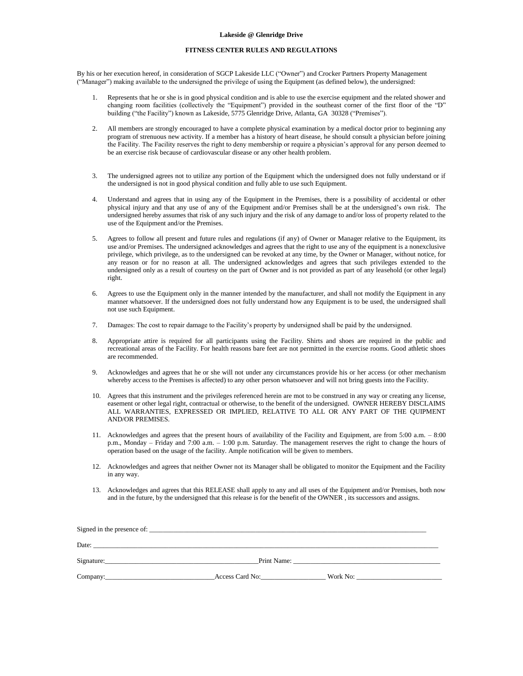## **Lakeside @ Glenridge Drive**

## **FITNESS CENTER RULES AND REGULATIONS**

By his or her execution hereof, in consideration of SGCP Lakeside LLC ("Owner") and Crocker Partners Property Management ("Manager") making available to the undersigned the privilege of using the Equipment (as defined below), the undersigned:

- 1. Represents that he or she is in good physical condition and is able to use the exercise equipment and the related shower and changing room facilities (collectively the "Equipment") provided in the southeast corner of the first floor of the "D" building ("the Facility") known as Lakeside, 5775 Glenridge Drive, Atlanta, GA 30328 ("Premises").
- 2. All members are strongly encouraged to have a complete physical examination by a medical doctor prior to beginning any program of strenuous new activity. If a member has a history of heart disease, he should consult a physician before joining the Facility. The Facility reserves the right to deny membership or require a physician's approval for any person deemed to be an exercise risk because of cardiovascular disease or any other health problem.
- 3. The undersigned agrees not to utilize any portion of the Equipment which the undersigned does not fully understand or if the undersigned is not in good physical condition and fully able to use such Equipment.
- 4. Understand and agrees that in using any of the Equipment in the Premises, there is a possibility of accidental or other physical injury and that any use of any of the Equipment and/or Premises shall be at the undersigned's own risk. The undersigned hereby assumes that risk of any such injury and the risk of any damage to and/or loss of property related to the use of the Equipment and/or the Premises.
- 5. Agrees to follow all present and future rules and regulations (if any) of Owner or Manager relative to the Equipment, its use and/or Premises. The undersigned acknowledges and agrees that the right to use any of the equipment is a nonexclusive privilege, which privilege, as to the undersigned can be revoked at any time, by the Owner or Manager, without notice, for any reason or for no reason at all. The undersigned acknowledges and agrees that such privileges extended to the undersigned only as a result of courtesy on the part of Owner and is not provided as part of any leasehold (or other legal) right.
- 6. Agrees to use the Equipment only in the manner intended by the manufacturer, and shall not modify the Equipment in any manner whatsoever. If the undersigned does not fully understand how any Equipment is to be used, the undersigned shall not use such Equipment.
- 7. Damages: The cost to repair damage to the Facility's property by undersigned shall be paid by the undersigned.
- 8. Appropriate attire is required for all participants using the Facility. Shirts and shoes are required in the public and recreational areas of the Facility. For health reasons bare feet are not permitted in the exercise rooms. Good athletic shoes are recommended.
- 9. Acknowledges and agrees that he or she will not under any circumstances provide his or her access (or other mechanism whereby access to the Premises is affected) to any other person whatsoever and will not bring guests into the Facility.
- 10. Agrees that this instrument and the privileges referenced herein are mot to be construed in any way or creating any license, easement or other legal right, contractual or otherwise, to the benefit of the undersigned. OWNER HEREBY DISCLAIMS ALL WARRANTIES, EXPRESSED OR IMPLIED, RELATIVE TO ALL OR ANY PART OF THE QUIPMENT AND/OR PREMISES.
- 11. Acknowledges and agrees that the present hours of availability of the Facility and Equipment, are from 5:00 a.m. 8:00 p.m., Monday – Friday and 7:00 a.m. – 1:00 p.m. Saturday. The management reserves the right to change the hours of operation based on the usage of the facility. Ample notification will be given to members.
- 12. Acknowledges and agrees that neither Owner not its Manager shall be obligated to monitor the Equipment and the Facility in any way.
- 13. Acknowledges and agrees that this RELEASE shall apply to any and all uses of the Equipment and/or Premises, both now and in the future, by the undersigned that this release is for the benefit of the OWNER , its successors and assigns.

| Date: |                 |          |  |
|-------|-----------------|----------|--|
|       |                 |          |  |
|       | Access Card No: | Work No: |  |